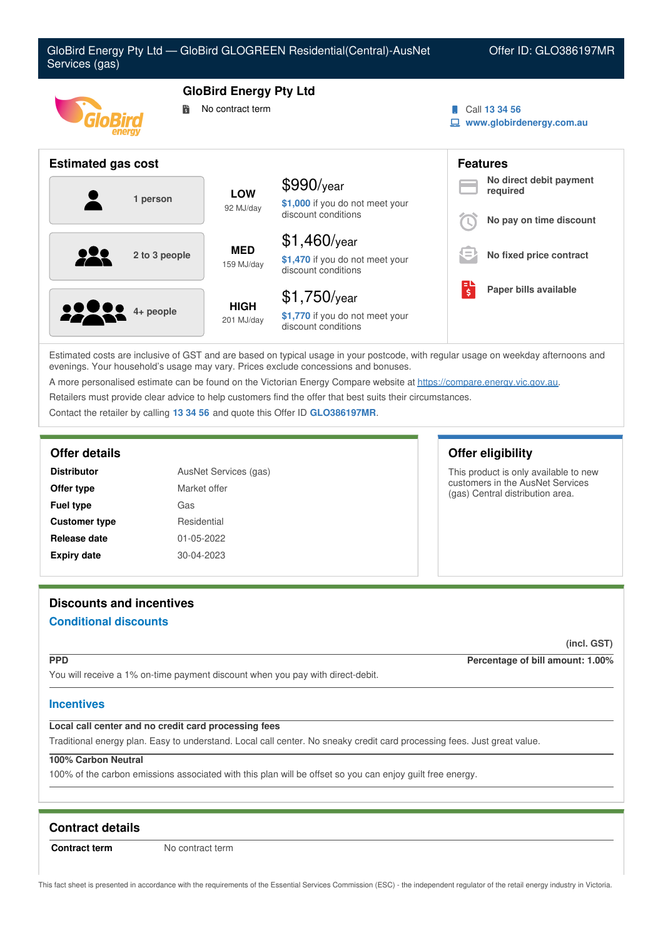

Estimated costs are inclusive of GST and are based on typical usage in your postcode, with regular usage on weekday afternoons and evenings. Your household's usage may vary. Prices exclude concessions and bonuses.

A more personalised estimate can be found on the Victorian Energy Compare website at <https://compare.energy.vic.gov.au>.

Retailers must provide clear advice to help customers find the offer that best suits their circumstances.

Contact the retailer by calling **13 34 56** and quote this Offer ID **GLO386197MR**.

| AusNet Services (gas)<br><b>Distributor</b> |              |
|---------------------------------------------|--------------|
| Offer type                                  | Market offer |
| <b>Fuel type</b>                            | Gas          |
| <b>Customer type</b>                        | Residential  |
| Release date                                | 01-05-2022   |
| <b>Expiry date</b>                          | 30-04-2023   |

# **Offer details Offer eligibility**

This product is only available to new customers in the AusNet Services (gas) Central distribution area.

# **Discounts and incentives**

# **Conditional discounts**

**(incl. GST)**

**PPD Percentage of bill amount: 1.00%**

You will receive a 1% on-time payment discount when you pay with direct-debit.

### **Incentives**

### **Local call center and no credit card processing fees**

Traditional energy plan. Easy to understand. Local call center. No sneaky credit card processing fees. Just great value.

# **100% Carbon Neutral**

100% of the carbon emissions associated with this plan will be offset so you can enjoy guilt free energy.

# **Contract details**

**Contract term** No contract term

This fact sheet is presented in accordance with the requirements of the Essential Services Commission (ESC) - the independent regulator of the retail energy industry in Victoria.